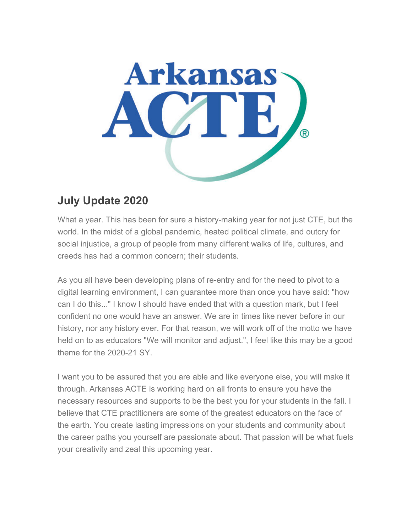

# **July Update 2020**

What a year. This has been for sure a history-making year for not just CTE, but the world. In the midst of a global pandemic, heated political climate, and outcry for social injustice, a group of people from many different walks of life, cultures, and creeds has had a common concern; their students.

As you all have been developing plans of re-entry and for the need to pivot to a digital learning environment, I can guarantee more than once you have said: "how can I do this..." I know I should have ended that with a question mark, but I feel confident no one would have an answer. We are in times like never before in our history, nor any history ever. For that reason, we will work off of the motto we have held on to as educators "We will monitor and adjust.", I feel like this may be a good theme for the 2020-21 SY

I want you to be assured that you are able and like everyone else, you will make it through. Arkansas ACTE is working hard on all fronts to ensure you have the necessary resources and supports to be the best you for your students in the fall. I believe that CTE practitioners are some of the greatest educators on the face of the earth. You create lasting impressions on your students and community about the career paths you yourself are passionate about. That passion will be what fuels your creativity and zeal this upcoming year.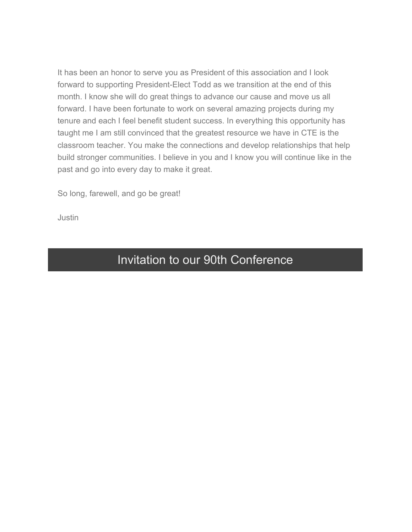It has been an honor to serve you as President of this association and I look forward to supporting President-Elect Todd as we transition at the end of this month. I know she will do great things to advance our cause and move us all forward. I have been fortunate to work on several amazing projects during my tenure and each I feel benefit student success. In everything this opportunity has taught me I am still convinced that the greatest resource we have in CTE is the classroom teacher. You make the connections and develop relationships that help build stronger communities. I believe in you and I know you will continue like in the past and go into every day to make it great.

So long, farewell, and go be great!

Justin

## Invitation to our 90th Conference